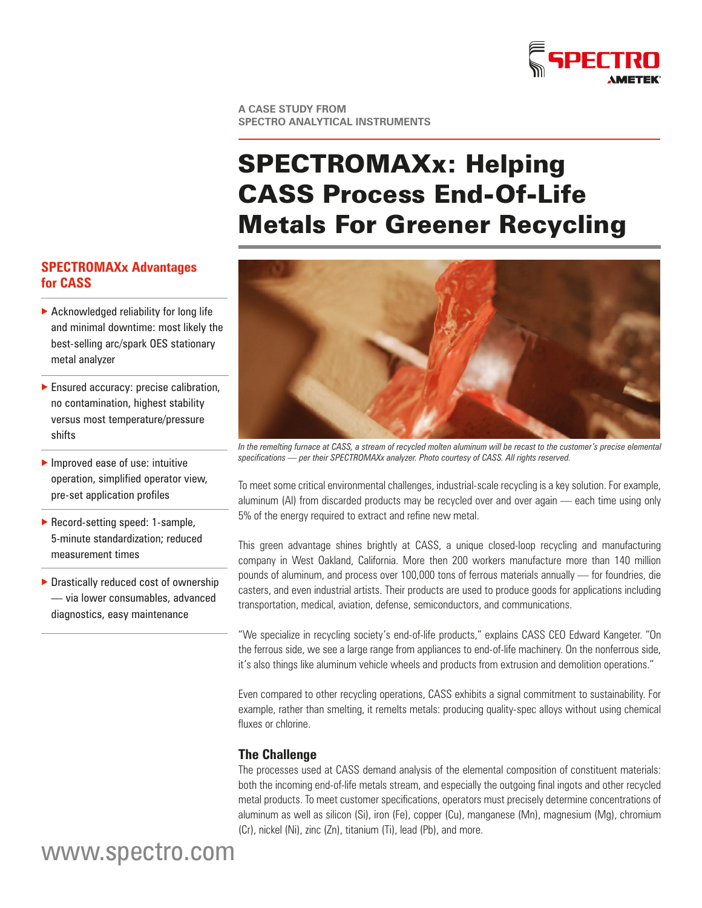

**A CASE STUDY FROM SPECTRO ANALYTICAL INSTRUMENTS**

# SPECTROMAXx: Helping CASS Process End-Of-Life Metals For Greener Recycling

# **SPECTROMAXx Advantages for CASS**

- $\blacktriangleright$  Acknowledged reliability for long life and minimal downtime: most likely the best-selling arc/spark OES stationary metal analyzer
- $\blacktriangleright$  Ensured accuracy: precise calibration, no contamination, highest stability versus most temperature/pressure shifts
- $\blacktriangleright$  Improved ease of use: intuitive operation, simplified operator view, pre-set application profiles
- Record-setting speed: 1-sample, 5-minute standardization; reduced measurement times
- $\blacktriangleright$  Drastically reduced cost of ownership — via lower consumables, advanced diagnostics, easy maintenance



*In the remelting furnace at CASS, a stream of recycled molten aluminum will be recast to the customer's precise elemental specifications — per their SPECTROMAXx analyzer. Photo courtesy of CASS. All rights reserved.*

To meet some critical environmental challenges, industrial-scale recycling is a key solution. For example, aluminum (Al) from discarded products may be recycled over and over again — each time using only 5% of the energy required to extract and refine new metal.

This green advantage shines brightly at CASS, a unique closed-loop recycling and manufacturing company in West Oakland, California. More then 200 workers manufacture more than 140 million pounds of aluminum, and process over 100,000 tons of ferrous materials annually — for foundries, die casters, and even industrial artists. Their products are used to produce goods for applications including transportation, medical, aviation, defense, semiconductors, and communications.

"We specialize in recycling society's end-of-life products," explains CASS CEO Edward Kangeter. "On the ferrous side, we see a large range from appliances to end-of-life machinery. On the nonferrous side, it's also things like aluminum vehicle wheels and products from extrusion and demolition operations."

Even compared to other recycling operations, CASS exhibits a signal commitment to sustainability. For example, rather than smelting, it remelts metals: producing quality-spec alloys without using chemical fluxes or chlorine.

# **The Challenge**

The processes used at CASS demand analysis of the elemental composition of constituent materials: both the incoming end-of-life metals stream, and especially the outgoing final ingots and other recycled metal products. To meet customer specifications, operators must precisely determine concentrations of aluminum as well as silicon (Si), iron (Fe), copper (Cu), manganese (Mn), magnesium (Mg), chromium (Cr), nickel (Ni), zinc (Zn), titanium (Ti), lead (Pb), and more.

www.spectro.com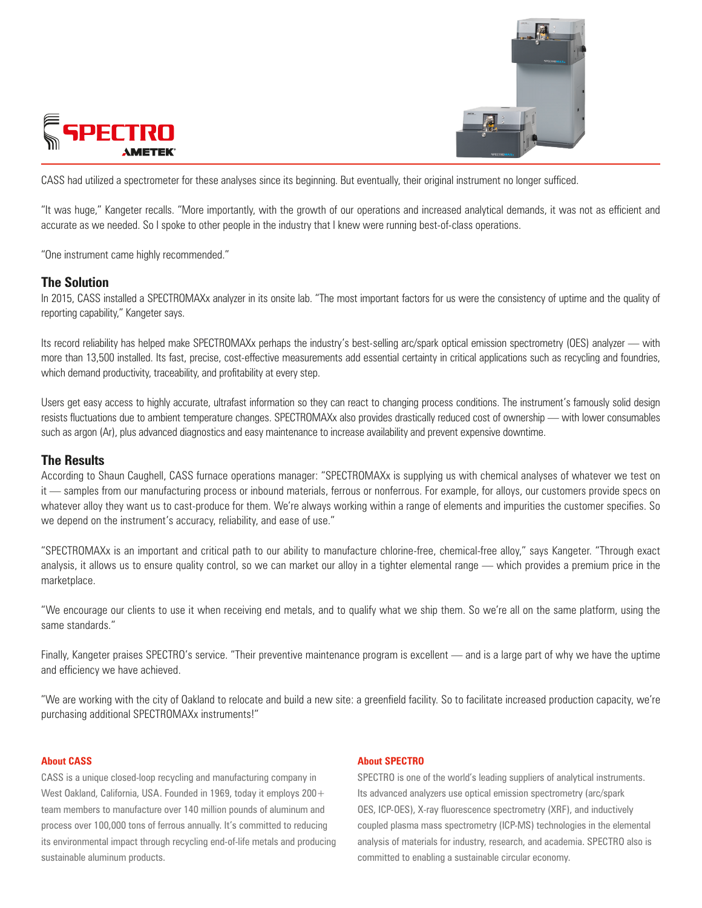



CASS had utilized a spectrometer for these analyses since its beginning. But eventually, their original instrument no longer sufficed.

"It was huge," Kangeter recalls. "More importantly, with the growth of our operations and increased analytical demands, it was not as efficient and accurate as we needed. So I spoke to other people in the industry that I knew were running best-of-class operations.

"One instrument came highly recommended."

### **The Solution**

In 2015, CASS installed a SPECTROMAXx analyzer in its onsite lab. "The most important factors for us were the consistency of uptime and the quality of reporting capability," Kangeter says.

Its record reliability has helped make SPECTROMAXx perhaps the industry's best-selling arc/spark optical emission spectrometry (OES) analyzer — with more than 13,500 installed. Its fast, precise, cost-effective measurements add essential certainty in critical applications such as recycling and foundries, which demand productivity, traceability, and profitability at every step.

Users get easy access to highly accurate, ultrafast information so they can react to changing process conditions. The instrument's famously solid design resists fluctuations due to ambient temperature changes. SPECTROMAXx also provides drastically reduced cost of ownership — with lower consumables such as argon (Ar), plus advanced diagnostics and easy maintenance to increase availability and prevent expensive downtime.

### **The Results**

According to Shaun Caughell, CASS furnace operations manager: "SPECTROMAXx is supplying us with chemical analyses of whatever we test on it — samples from our manufacturing process or inbound materials, ferrous or nonferrous. For example, for alloys, our customers provide specs on whatever alloy they want us to cast-produce for them. We're always working within a range of elements and impurities the customer specifies. So we depend on the instrument's accuracy, reliability, and ease of use."

"SPECTROMAXx is an important and critical path to our ability to manufacture chlorine-free, chemical-free alloy," says Kangeter. "Through exact analysis, it allows us to ensure quality control, so we can market our alloy in a tighter elemental range — which provides a premium price in the marketplace.

"We encourage our clients to use it when receiving end metals, and to qualify what we ship them. So we're all on the same platform, using the same standards."

Finally, Kangeter praises SPECTRO's service. "Their preventive maintenance program is excellent — and is a large part of why we have the uptime and efficiency we have achieved.

"We are working with the city of Oakland to relocate and build a new site: a greenfield facility. So to facilitate increased production capacity, we're purchasing additional SPECTROMAXx instruments!"

### **About CASS**

CASS is a unique closed-loop recycling and manufacturing company in West Oakland, California, USA. Founded in 1969, today it employs 200+ team members to manufacture over 140 million pounds of aluminum and process over 100,000 tons of ferrous annually. It's committed to reducing its environmental impact through recycling end-of-life metals and producing sustainable aluminum products.

### **About SPECTRO**

SPECTRO is one of the world's leading suppliers of analytical instruments. Its advanced analyzers use optical emission spectrometry (arc/spark OES, ICP-OES), X-ray fluorescence spectrometry (XRF), and inductively coupled plasma mass spectrometry (ICP-MS) technologies in the elemental analysis of materials for industry, research, and academia. SPECTRO also is committed to enabling a sustainable circular economy.